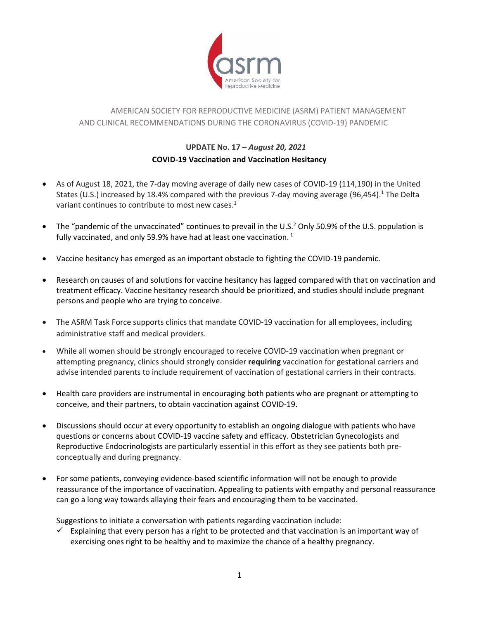

## AMERICAN SOCIETY FOR REPRODUCTIVE MEDICINE (ASRM) PATIENT MANAGEMENT AND CLINICAL RECOMMENDATIONS DURING THE CORONAVIRUS (COVID-19) PANDEMIC

## **UPDATE No. 17 –** *August 20, 2021* **COVID-19 Vaccination and Vaccination Hesitancy**

- As of August 18, 2021, the 7-day moving average of daily new cases of COVID-19 (114,190) in the United States (U.S.) increased by 18.4% compared with the previous 7-day moving average (96,454).<sup>1</sup> The Delta variant continues to contribute to most new cases.<sup>1</sup>
- The "pandemic of the unvaccinated" continues to prevail in the U.S.<sup>2</sup> Only 50.9% of the U.S. population is fully vaccinated, and only 59.9% have had at least one vaccination.  $1$
- Vaccine hesitancy has emerged as an important obstacle to fighting the COVID-19 pandemic.
- Research on causes of and solutions for vaccine hesitancy has lagged compared with that on vaccination and treatment efficacy. Vaccine hesitancy research should be prioritized, and studies should include pregnant persons and people who are trying to conceive.
- The ASRM Task Force supports clinics that mandate COVID-19 vaccination for all employees, including administrative staff and medical providers.
- While all women should be strongly encouraged to receive COVID-19 vaccination when pregnant or attempting pregnancy, clinics should strongly consider **requiring** vaccination for gestational carriers and advise intended parents to include requirement of vaccination of gestational carriers in their contracts.
- Health care providers are instrumental in encouraging both patients who are pregnant or attempting to conceive, and their partners, to obtain vaccination against COVID-19.
- Discussions should occur at every opportunity to establish an ongoing dialogue with patients who have questions or concerns about COVID-19 vaccine safety and efficacy. Obstetrician Gynecologists and Reproductive Endocrinologists are particularly essential in this effort as they see patients both preconceptually and during pregnancy.
- For some patients, conveying evidence-based scientific information will not be enough to provide reassurance of the importance of vaccination. Appealing to patients with empathy and personal reassurance can go a long way towards allaying their fears and encouraging them to be vaccinated.

Suggestions to initiate a conversation with patients regarding vaccination include:

 $\checkmark$  Explaining that every person has a right to be protected and that vaccination is an important way of exercising ones right to be healthy and to maximize the chance of a healthy pregnancy.